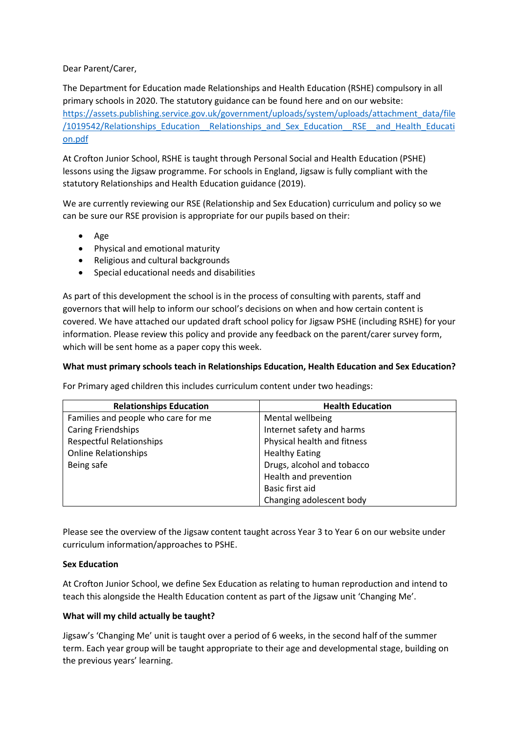Dear Parent/Carer,

The Department for Education made Relationships and Health Education (RSHE) compulsory in all primary schools in 2020. The statutory guidance can be found here and on our website: [https://assets.publishing.service.gov.uk/government/uploads/system/uploads/attachment\\_data/file](https://assets.publishing.service.gov.uk/government/uploads/system/uploads/attachment_data/file/1019542/Relationships_Education__Relationships_and_Sex_Education__RSE__and_Health_Education.pdf) [/1019542/Relationships\\_Education\\_\\_Relationships\\_and\\_Sex\\_Education\\_\\_RSE\\_\\_and\\_Health\\_Educati](https://assets.publishing.service.gov.uk/government/uploads/system/uploads/attachment_data/file/1019542/Relationships_Education__Relationships_and_Sex_Education__RSE__and_Health_Education.pdf) [on.pdf](https://assets.publishing.service.gov.uk/government/uploads/system/uploads/attachment_data/file/1019542/Relationships_Education__Relationships_and_Sex_Education__RSE__and_Health_Education.pdf)

At Crofton Junior School, RSHE is taught through Personal Social and Health Education (PSHE) lessons using the Jigsaw programme. For schools in England, Jigsaw is fully compliant with the statutory Relationships and Health Education guidance (2019).

We are currently reviewing our RSE (Relationship and Sex Education) curriculum and policy so we can be sure our RSE provision is appropriate for our pupils based on their:

- Age
- Physical and emotional maturity
- Religious and cultural backgrounds
- Special educational needs and disabilities

As part of this development the school is in the process of consulting with parents, staff and governors that will help to inform our school's decisions on when and how certain content is covered. We have attached our updated draft school policy for Jigsaw PSHE (including RSHE) for your information. Please review this policy and provide any feedback on the parent/carer survey form, which will be sent home as a paper copy this week.

# **What must primary schools teach in Relationships Education, Health Education and Sex Education?**

For Primary aged children this includes curriculum content under two headings:

| <b>Relationships Education</b>      | <b>Health Education</b>     |
|-------------------------------------|-----------------------------|
| Families and people who care for me | Mental wellbeing            |
| <b>Caring Friendships</b>           | Internet safety and harms   |
| <b>Respectful Relationships</b>     | Physical health and fitness |
| <b>Online Relationships</b>         | <b>Healthy Eating</b>       |
| Being safe                          | Drugs, alcohol and tobacco  |
|                                     | Health and prevention       |
|                                     | Basic first aid             |
|                                     | Changing adolescent body    |

Please see the overview of the Jigsaw content taught across Year 3 to Year 6 on our website under curriculum information/approaches to PSHE.

## **Sex Education**

At Crofton Junior School, we define Sex Education as relating to human reproduction and intend to teach this alongside the Health Education content as part of the Jigsaw unit 'Changing Me'.

## **What will my child actually be taught?**

Jigsaw's 'Changing Me' unit is taught over a period of 6 weeks, in the second half of the summer term. Each year group will be taught appropriate to their age and developmental stage, building on the previous years' learning.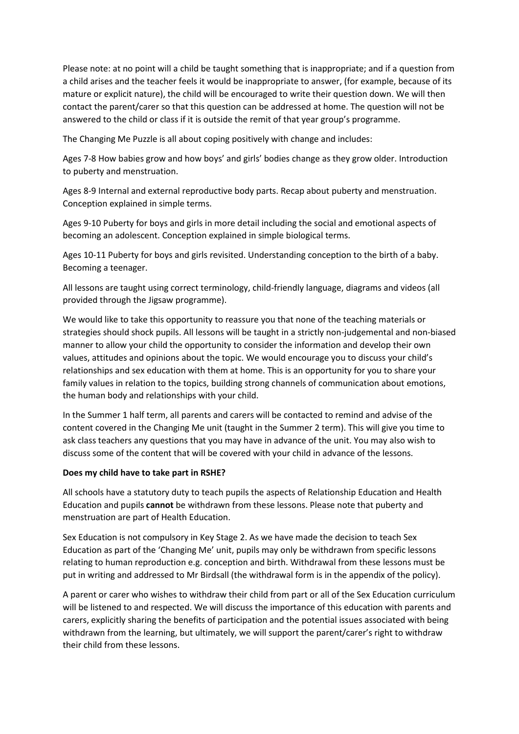Please note: at no point will a child be taught something that is inappropriate; and if a question from a child arises and the teacher feels it would be inappropriate to answer, (for example, because of its mature or explicit nature), the child will be encouraged to write their question down. We will then contact the parent/carer so that this question can be addressed at home. The question will not be answered to the child or class if it is outside the remit of that year group's programme.

The Changing Me Puzzle is all about coping positively with change and includes:

Ages 7-8 How babies grow and how boys' and girls' bodies change as they grow older. Introduction to puberty and menstruation.

Ages 8-9 Internal and external reproductive body parts. Recap about puberty and menstruation. Conception explained in simple terms.

Ages 9-10 Puberty for boys and girls in more detail including the social and emotional aspects of becoming an adolescent. Conception explained in simple biological terms.

Ages 10-11 Puberty for boys and girls revisited. Understanding conception to the birth of a baby. Becoming a teenager.

All lessons are taught using correct terminology, child-friendly language, diagrams and videos (all provided through the Jigsaw programme).

We would like to take this opportunity to reassure you that none of the teaching materials or strategies should shock pupils. All lessons will be taught in a strictly non-judgemental and non-biased manner to allow your child the opportunity to consider the information and develop their own values, attitudes and opinions about the topic. We would encourage you to discuss your child's relationships and sex education with them at home. This is an opportunity for you to share your family values in relation to the topics, building strong channels of communication about emotions, the human body and relationships with your child.

In the Summer 1 half term, all parents and carers will be contacted to remind and advise of the content covered in the Changing Me unit (taught in the Summer 2 term). This will give you time to ask class teachers any questions that you may have in advance of the unit. You may also wish to discuss some of the content that will be covered with your child in advance of the lessons.

## **Does my child have to take part in RSHE?**

All schools have a statutory duty to teach pupils the aspects of Relationship Education and Health Education and pupils **cannot** be withdrawn from these lessons. Please note that puberty and menstruation are part of Health Education.

Sex Education is not compulsory in Key Stage 2. As we have made the decision to teach Sex Education as part of the 'Changing Me' unit, pupils may only be withdrawn from specific lessons relating to human reproduction e.g. conception and birth. Withdrawal from these lessons must be put in writing and addressed to Mr Birdsall (the withdrawal form is in the appendix of the policy).

A parent or carer who wishes to withdraw their child from part or all of the Sex Education curriculum will be listened to and respected. We will discuss the importance of this education with parents and carers, explicitly sharing the benefits of participation and the potential issues associated with being withdrawn from the learning, but ultimately, we will support the parent/carer's right to withdraw their child from these lessons.